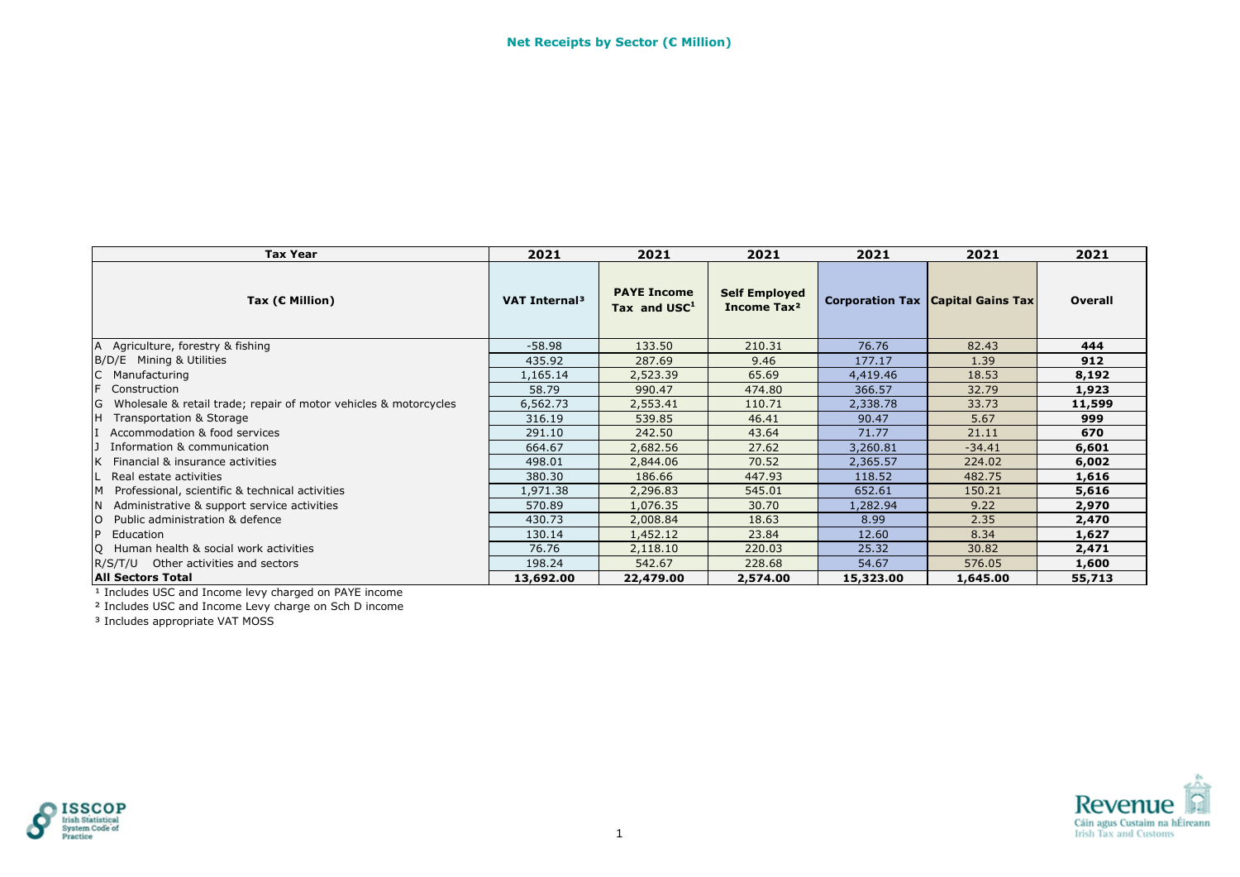| <b>Tax Year</b>                                                       | 2021                      | 2021                                 | 2021                                            | 2021      | 2021                                       | 2021    |
|-----------------------------------------------------------------------|---------------------------|--------------------------------------|-------------------------------------------------|-----------|--------------------------------------------|---------|
| Tax ( $C$ Million)                                                    | VAT Internal <sup>3</sup> | <b>PAYE Income</b><br>Tax and $USC1$ | <b>Self Employed</b><br>Income Tax <sup>2</sup> |           | <b>Corporation Tax   Capital Gains Tax</b> | Overall |
| A Agriculture, forestry & fishing                                     | $-58.98$                  | 133.50                               | 210.31                                          | 76.76     | 82.43                                      | 444     |
| B/D/E Mining & Utilities                                              | 435.92                    | 287.69                               | 9.46                                            | 177.17    | 1.39                                       | 912     |
| C<br>Manufacturing                                                    | 1,165.14                  | 2,523.39                             | 65.69                                           | 4,419.46  | 18.53                                      | 8,192   |
| F.<br>Construction                                                    | 58.79                     | 990.47                               | 474.80                                          | 366.57    | 32.79                                      | 1,923   |
| G<br>Wholesale & retail trade; repair of motor vehicles & motorcycles | 6,562.73                  | 2,553.41                             | 110.71                                          | 2,338.78  | 33.73                                      | 11,599  |
| H<br>Transportation & Storage                                         | 316.19                    | 539.85                               | 46.41                                           | 90.47     | 5.67                                       | 999     |
| Accommodation & food services                                         | 291.10                    | 242.50                               | 43.64                                           | 71.77     | 21.11                                      | 670     |
| Information & communication                                           | 664.67                    | 2,682.56                             | 27.62                                           | 3,260.81  | $-34.41$                                   | 6,601   |
| Financial & insurance activities                                      | 498.01                    | 2,844.06                             | 70.52                                           | 2,365.57  | 224.02                                     | 6,002   |
| Real estate activities                                                | 380.30                    | 186.66                               | 447.93                                          | 118.52    | 482.75                                     | 1,616   |
| Professional, scientific & technical activities<br>M                  | 1,971.38                  | 2,296.83                             | 545.01                                          | 652.61    | 150.21                                     | 5,616   |
| Administrative & support service activities<br><b>N</b>               | 570.89                    | 1,076.35                             | 30.70                                           | 1,282.94  | 9.22                                       | 2,970   |
| $\overline{O}$<br>Public administration & defence                     | 430.73                    | 2,008.84                             | 18.63                                           | 8.99      | 2.35                                       | 2,470   |
| P<br>Education                                                        | 130.14                    | 1,452.12                             | 23.84                                           | 12.60     | 8.34                                       | 1,627   |
| Q Human health & social work activities                               | 76.76                     | 2,118.10                             | 220.03                                          | 25.32     | 30.82                                      | 2,471   |
| R/S/T/U Other activities and sectors                                  | 198.24                    | 542.67                               | 228.68                                          | 54.67     | 576.05                                     | 1,600   |
| <b>All Sectors Total</b>                                              | 13,692.00                 | 22,479.00                            | 2,574.00                                        | 15,323.00 | 1,645.00                                   | 55,713  |

² Includes USC and Income Levy charge on Sch D income



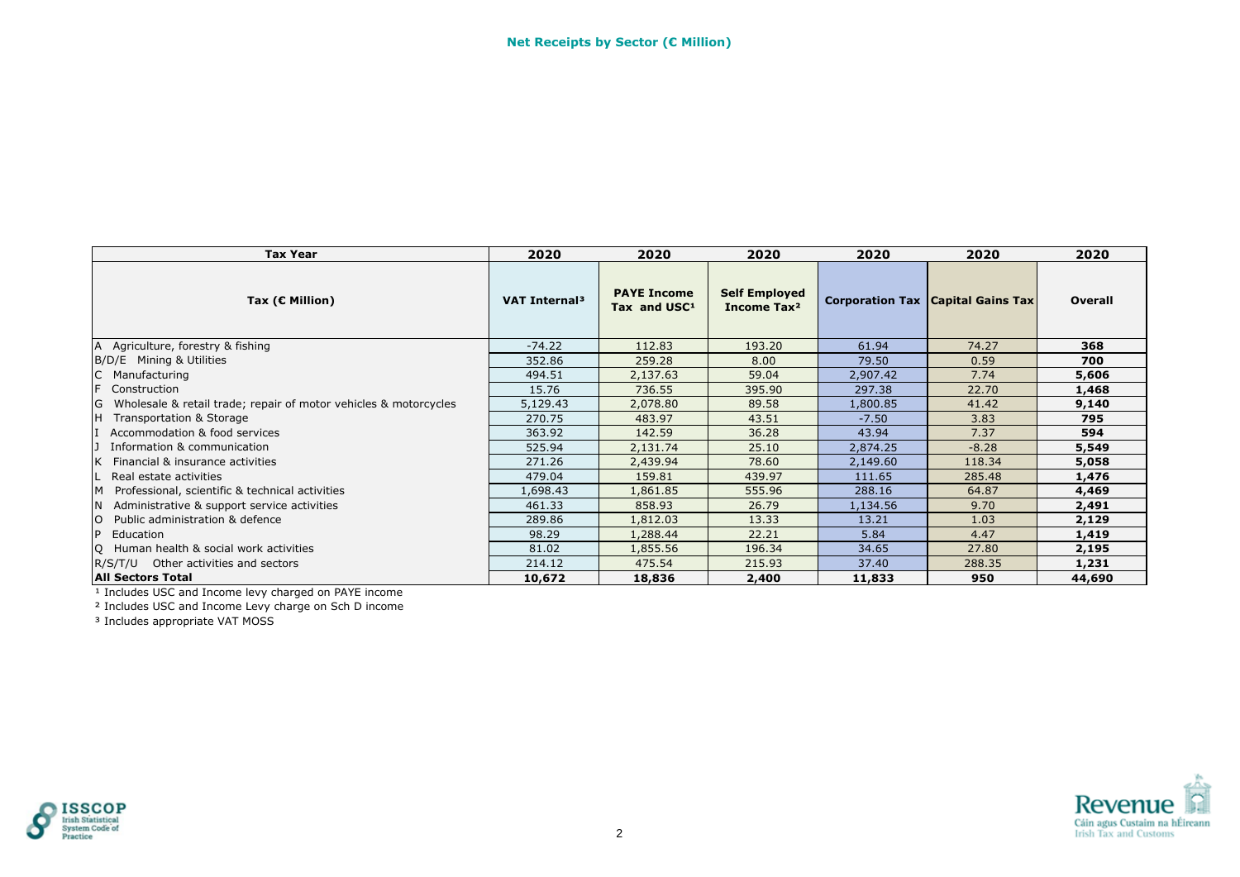| <b>Tax Year</b>                                                       | 2020                      | 2020                                           | 2020                                            | 2020     | 2020                                       | 2020    |
|-----------------------------------------------------------------------|---------------------------|------------------------------------------------|-------------------------------------------------|----------|--------------------------------------------|---------|
| Tax ( $\epsilon$ Million)                                             | VAT Internal <sup>3</sup> | <b>PAYE Income</b><br>Tax and USC <sup>1</sup> | <b>Self Employed</b><br>Income Tax <sup>2</sup> |          | <b>Corporation Tax   Capital Gains Tax</b> | Overall |
| <b>A</b><br>Agriculture, forestry & fishing                           | $-74.22$                  | 112.83                                         | 193.20                                          | 61.94    | 74.27                                      | 368     |
| B/D/E Mining & Utilities                                              | 352.86                    | 259.28                                         | 8.00                                            | 79.50    | 0.59                                       | 700     |
| Manufacturing                                                         | 494.51                    | 2,137.63                                       | 59.04                                           | 2,907.42 | 7.74                                       | 5,606   |
| F<br>Construction                                                     | 15.76                     | 736.55                                         | 395.90                                          | 297.38   | 22.70                                      | 1,468   |
| G<br>Wholesale & retail trade; repair of motor vehicles & motorcycles | 5,129.43                  | 2,078.80                                       | 89.58                                           | 1,800.85 | 41.42                                      | 9,140   |
| Iн.<br>Transportation & Storage                                       | 270.75                    | 483.97                                         | 43.51                                           | $-7.50$  | 3.83                                       | 795     |
| Accommodation & food services                                         | 363.92                    | 142.59                                         | 36.28                                           | 43.94    | 7.37                                       | 594     |
| Information & communication                                           | 525.94                    | 2,131.74                                       | 25.10                                           | 2,874.25 | $-8.28$                                    | 5,549   |
| Financial & insurance activities                                      | 271.26                    | 2,439.94                                       | 78.60                                           | 2,149.60 | 118.34                                     | 5,058   |
| Real estate activities                                                | 479.04                    | 159.81                                         | 439.97                                          | 111.65   | 285.48                                     | 1,476   |
| M Professional, scientific & technical activities                     | 1,698.43                  | 1,861.85                                       | 555.96                                          | 288.16   | 64.87                                      | 4,469   |
| Administrative & support service activities<br>IN.                    | 461.33                    | 858.93                                         | 26.79                                           | 1,134.56 | 9.70                                       | 2,491   |
| Public administration & defence                                       | 289.86                    | 1,812.03                                       | 13.33                                           | 13.21    | 1.03                                       | 2,129   |
| IP.<br>Education                                                      | 98.29                     | 1,288.44                                       | 22.21                                           | 5.84     | 4.47                                       | 1,419   |
| IQ Human health & social work activities                              | 81.02                     | 1,855.56                                       | 196.34                                          | 34.65    | 27.80                                      | 2,195   |
| R/S/T/U Other activities and sectors                                  | 214.12                    | 475.54                                         | 215.93                                          | 37.40    | 288.35                                     | 1,231   |
| <b>All Sectors Total</b>                                              | 10,672                    | 18,836                                         | 2,400                                           | 11,833   | 950                                        | 44,690  |

² Includes USC and Income Levy charge on Sch D income



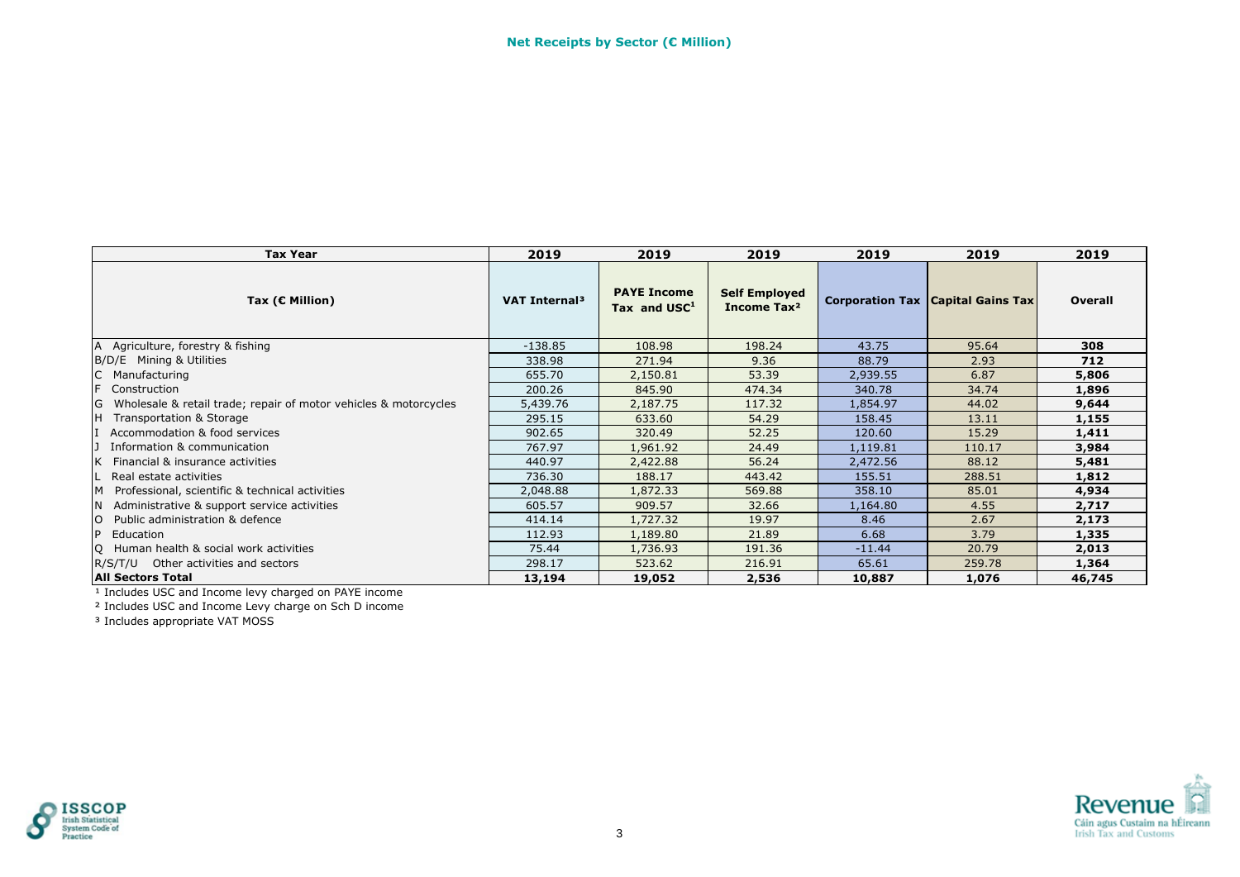| <b>Tax Year</b>                                                       | 2019                      | 2019                                           | 2019                                            | 2019     | 2019                                       | 2019    |
|-----------------------------------------------------------------------|---------------------------|------------------------------------------------|-------------------------------------------------|----------|--------------------------------------------|---------|
| Tax ( $C$ Million)                                                    | VAT Internal <sup>3</sup> | <b>PAYE Income</b><br>Tax and USC <sup>1</sup> | <b>Self Employed</b><br>Income Tax <sup>2</sup> |          | <b>Corporation Tax   Capital Gains Tax</b> | Overall |
| A<br>Agriculture, forestry & fishing                                  | $-138.85$                 | 108.98                                         | 198.24                                          | 43.75    | 95.64                                      | 308     |
| B/D/E Mining & Utilities                                              | 338.98                    | 271.94                                         | 9.36                                            | 88.79    | 2.93                                       | 712     |
| Manufacturing                                                         | 655.70                    | 2,150.81                                       | 53.39                                           | 2,939.55 | 6.87                                       | 5,806   |
| F<br>Construction                                                     | 200.26                    | 845.90                                         | 474.34                                          | 340.78   | 34.74                                      | 1,896   |
| G<br>Wholesale & retail trade; repair of motor vehicles & motorcycles | 5,439.76                  | 2,187.75                                       | 117.32                                          | 1,854.97 | 44.02                                      | 9,644   |
| lн.<br>Transportation & Storage                                       | 295.15                    | 633.60                                         | 54.29                                           | 158.45   | 13.11                                      | 1,155   |
| Accommodation & food services                                         | 902.65                    | 320.49                                         | 52.25                                           | 120.60   | 15.29                                      | 1,411   |
| Information & communication                                           | 767.97                    | 1,961.92                                       | 24.49                                           | 1,119.81 | 110.17                                     | 3,984   |
| Financial & insurance activities                                      | 440.97                    | 2,422.88                                       | 56.24                                           | 2,472.56 | 88.12                                      | 5,481   |
| Real estate activities                                                | 736.30                    | 188.17                                         | 443.42                                          | 155.51   | 288.51                                     | 1,812   |
| M Professional, scientific & technical activities                     | 2,048.88                  | 1,872.33                                       | 569.88                                          | 358.10   | 85.01                                      | 4,934   |
| Administrative & support service activities<br>IN.                    | 605.57                    | 909.57                                         | 32.66                                           | 1,164.80 | 4.55                                       | 2,717   |
| Public administration & defence                                       | 414.14                    | 1,727.32                                       | 19.97                                           | 8.46     | 2.67                                       | 2,173   |
| IP.<br>Education                                                      | 112.93                    | 1,189.80                                       | 21.89                                           | 6.68     | 3.79                                       | 1,335   |
| Q Human health & social work activities                               | 75.44                     | 1,736.93                                       | 191.36                                          | $-11.44$ | 20.79                                      | 2,013   |
| R/S/T/U Other activities and sectors                                  | 298.17                    | 523.62                                         | 216.91                                          | 65.61    | 259.78                                     | 1,364   |
| <b>All Sectors Total</b>                                              | 13,194                    | 19,052                                         | 2,536                                           | 10,887   | 1,076                                      | 46,745  |

² Includes USC and Income Levy charge on Sch D income



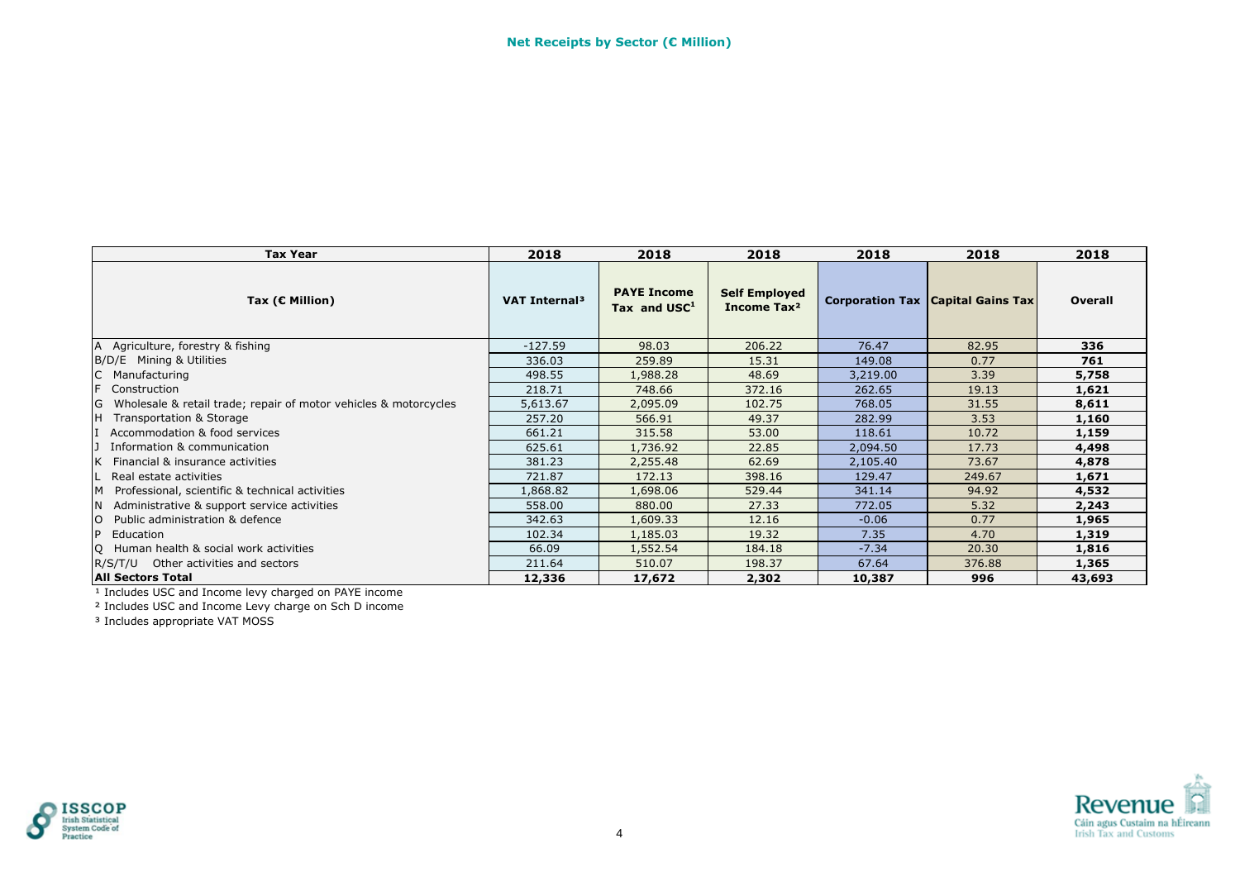| <b>Tax Year</b>                                                       | 2018                      | 2018                                 | 2018                                            | 2018     | 2018                                       | 2018    |
|-----------------------------------------------------------------------|---------------------------|--------------------------------------|-------------------------------------------------|----------|--------------------------------------------|---------|
| Tax ( $C$ Million)                                                    | VAT Internal <sup>3</sup> | <b>PAYE Income</b><br>Tax and $USC1$ | <b>Self Employed</b><br>Income Tax <sup>2</sup> |          | <b>Corporation Tax   Capital Gains Tax</b> | Overall |
| A Agriculture, forestry & fishing                                     | $-127.59$                 | 98.03                                | 206.22                                          | 76.47    | 82.95                                      | 336     |
| B/D/E Mining & Utilities                                              | 336.03                    | 259.89                               | 15.31                                           | 149.08   | 0.77                                       | 761     |
| C<br>Manufacturing                                                    | 498.55                    | 1,988.28                             | 48.69                                           | 3,219.00 | 3.39                                       | 5,758   |
| F.<br>Construction                                                    | 218.71                    | 748.66                               | 372.16                                          | 262.65   | 19.13                                      | 1,621   |
| G<br>Wholesale & retail trade; repair of motor vehicles & motorcycles | 5,613.67                  | 2,095.09                             | 102.75                                          | 768.05   | 31.55                                      | 8,611   |
| H<br>Transportation & Storage                                         | 257.20                    | 566.91                               | 49.37                                           | 282.99   | 3.53                                       | 1,160   |
| Accommodation & food services                                         | 661.21                    | 315.58                               | 53.00                                           | 118.61   | 10.72                                      | 1,159   |
| Information & communication                                           | 625.61                    | 1,736.92                             | 22.85                                           | 2,094.50 | 17.73                                      | 4,498   |
| Financial & insurance activities                                      | 381.23                    | 2,255.48                             | 62.69                                           | 2,105.40 | 73.67                                      | 4,878   |
| Real estate activities                                                | 721.87                    | 172.13                               | 398.16                                          | 129.47   | 249.67                                     | 1,671   |
| M<br>Professional, scientific & technical activities                  | L,868.82                  | 1,698.06                             | 529.44                                          | 341.14   | 94.92                                      | 4,532   |
| <b>N</b><br>Administrative & support service activities               | 558.00                    | 880.00                               | 27.33                                           | 772.05   | 5.32                                       | 2,243   |
| $\overline{O}$<br>Public administration & defence                     | 342.63                    | 1,609.33                             | 12.16                                           | $-0.06$  | 0.77                                       | 1,965   |
| P<br>Education                                                        | 102.34                    | 1,185.03                             | 19.32                                           | 7.35     | 4.70                                       | 1,319   |
| Q Human health & social work activities                               | 66.09                     | 1,552.54                             | 184.18                                          | $-7.34$  | 20.30                                      | 1,816   |
| R/S/T/U Other activities and sectors                                  | 211.64                    | 510.07                               | 198.37                                          | 67.64    | 376.88                                     | 1,365   |
| <b>All Sectors Total</b>                                              | 12,336                    | 17,672                               | 2,302                                           | 10,387   | 996                                        | 43,693  |

² Includes USC and Income Levy charge on Sch D income



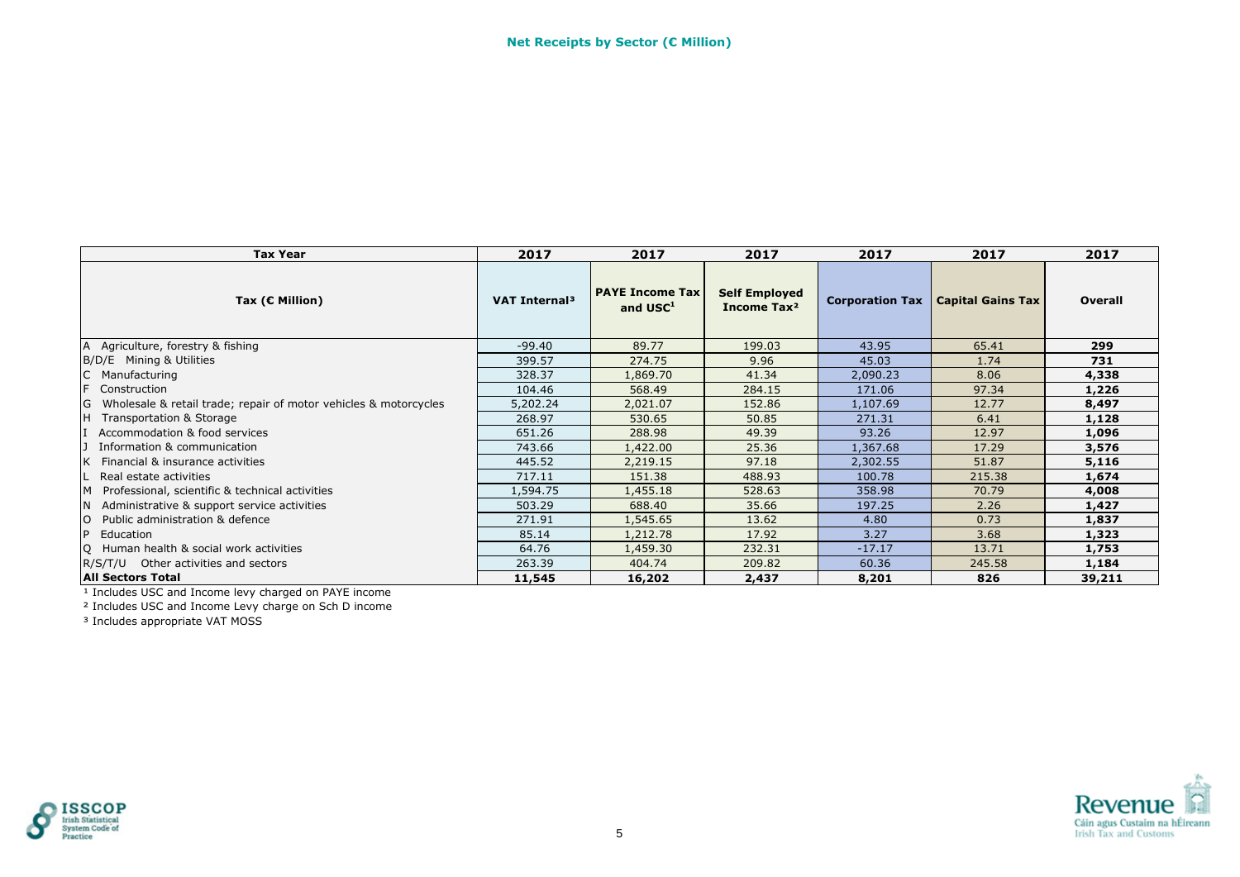| <b>Tax Year</b>                                                         | 2017                      | 2017                                           | 2017                                            | 2017            | 2017                     | 2017    |
|-------------------------------------------------------------------------|---------------------------|------------------------------------------------|-------------------------------------------------|-----------------|--------------------------|---------|
| Tax ( $C$ Million)                                                      | VAT Internal <sup>3</sup> | <b>PAYE Income Tax</b><br>and USC <sup>1</sup> | <b>Self Employed</b><br>Income Tax <sup>2</sup> | Corporation Tax | <b>Capital Gains Tax</b> | Overall |
| A Agriculture, forestry & fishing                                       | $-99.40$                  | 89.77                                          | 199.03                                          | 43.95           | 65.41                    | 299     |
| B/D/E Mining & Utilities                                                | 399.57                    | 274.75                                         | 9.96                                            | 45.03           | 1.74                     | 731     |
| Manufacturing                                                           | 328.37                    | 1,869.70                                       | 41.34                                           | 2,090.23        | 8.06                     | 4,338   |
| F<br>Construction                                                       | 104.46                    | 568.49                                         | 284.15                                          | 171.06          | 97.34                    | 1,226   |
| Wholesale & retail trade; repair of motor vehicles & motorcycles<br>IG. | 5,202.24                  | 2,021.07                                       | 152.86                                          | 1,107.69        | 12.77                    | 8,497   |
| Iн.<br>Transportation & Storage                                         | 268.97                    | 530.65                                         | 50.85                                           | 271.31          | 6.41                     | 1,128   |
| Accommodation & food services                                           | 651.26                    | 288.98                                         | 49.39                                           | 93.26           | 12.97                    | 1,096   |
| Information & communication                                             | 743.66                    | 1,422.00                                       | 25.36                                           | 1,367.68        | 17.29                    | 3,576   |
| Financial & insurance activities                                        | 445.52                    | 2,219.15                                       | 97.18                                           | 2,302.55        | 51.87                    | 5,116   |
| Real estate activities                                                  | 717.11                    | 151.38                                         | 488.93                                          | 100.78          | 215.38                   | 1,674   |
| Professional, scientific & technical activities<br><b>IM</b>            | 1,594.75                  | 1,455.18                                       | 528.63                                          | 358.98          | 70.79                    | 4,008   |
| Administrative & support service activities<br>IN.                      | 503.29                    | 688.40                                         | 35.66                                           | 197.25          | 2.26                     | 1,427   |
| Public administration & defence                                         | 271.91                    | 1,545.65                                       | 13.62                                           | 4.80            | 0.73                     | 1,837   |
| <b>P</b><br>Education                                                   | 85.14                     | 1,212.78                                       | 17.92                                           | 3.27            | 3.68                     | 1,323   |
| Q Human health & social work activities                                 | 64.76                     | 1,459.30                                       | 232.31                                          | $-17.17$        | 13.71                    | 1,753   |
| R/S/T/U Other activities and sectors                                    | 263.39                    | 404.74                                         | 209.82                                          | 60.36           | 245.58                   | 1,184   |
| <b>All Sectors Total</b>                                                | 11,545                    | 16,202                                         | 2,437                                           | 8,201           | 826                      | 39,211  |

² Includes USC and Income Levy charge on Sch D income



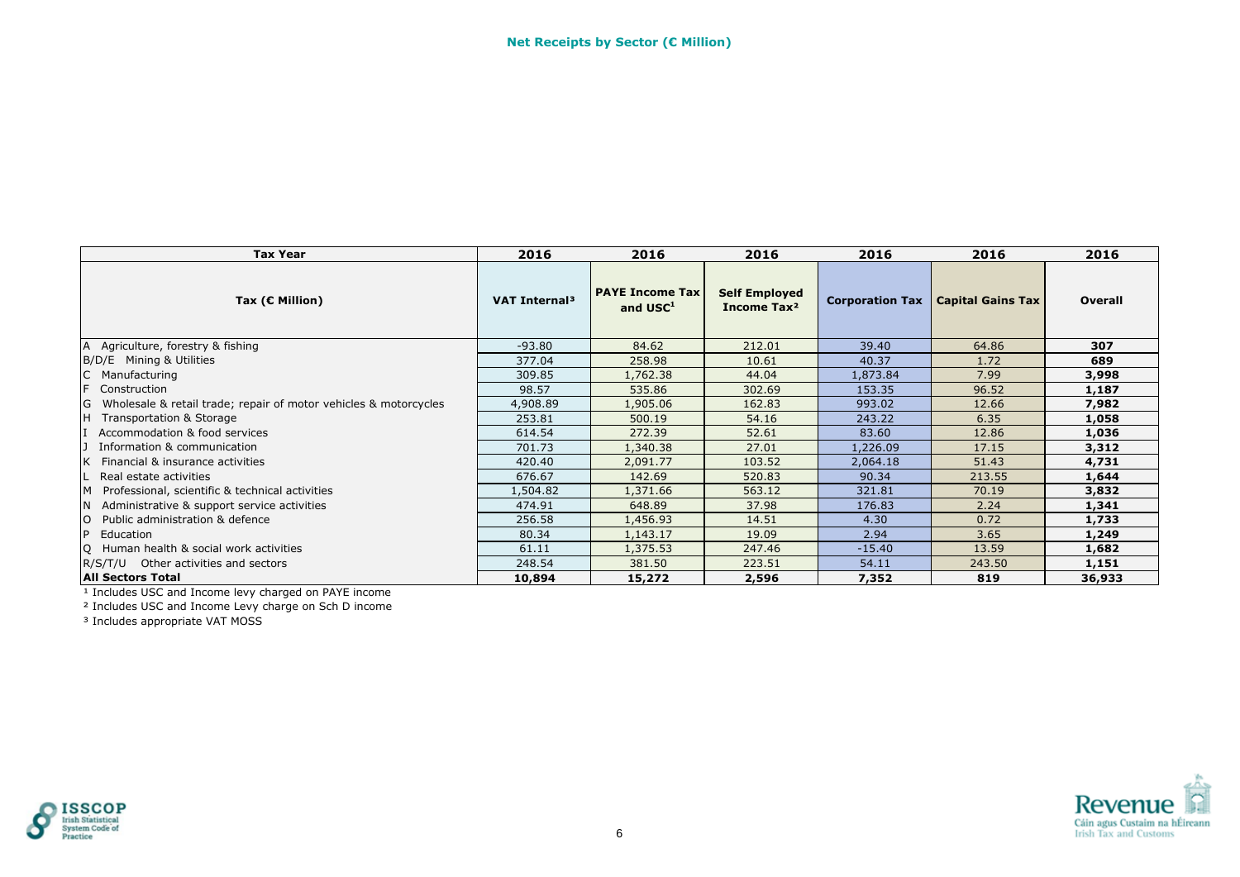| <b>Tax Year</b>                                                    | 2016                      | 2016                                           | 2016                                            | 2016                   | 2016                     | 2016    |
|--------------------------------------------------------------------|---------------------------|------------------------------------------------|-------------------------------------------------|------------------------|--------------------------|---------|
| Tax ( $C$ Million)                                                 | VAT Internal <sup>3</sup> | <b>PAYE Income Tax</b><br>and USC <sup>1</sup> | <b>Self Employed</b><br>Income Tax <sup>2</sup> | <b>Corporation Tax</b> | <b>Capital Gains Tax</b> | Overall |
| A Agriculture, forestry & fishing                                  | $-93.80$                  | 84.62                                          | 212.01                                          | 39.40                  | 64.86                    | 307     |
| B/D/E Mining & Utilities                                           | 377.04                    | 258.98                                         | 10.61                                           | 40.37                  | 1.72                     | 689     |
| C Manufacturing                                                    | 309.85                    | 1,762.38                                       | 44.04                                           | 1,873.84               | 7.99                     | 3,998   |
| F<br>Construction                                                  | 98.57                     | 535.86                                         | 302.69                                          | 153.35                 | 96.52                    | 1,187   |
| G Wholesale & retail trade; repair of motor vehicles & motorcycles | 4,908.89                  | 1,905.06                                       | 162.83                                          | 993.02                 | 12.66                    | 7,982   |
| IH.<br>Transportation & Storage                                    | 253.81                    | 500.19                                         | 54.16                                           | 243.22                 | 6.35                     | 1,058   |
| Accommodation & food services                                      | 614.54                    | 272.39                                         | 52.61                                           | 83.60                  | 12.86                    | 1,036   |
| Information & communication                                        | 701.73                    | 1,340.38                                       | 27.01                                           | 1,226.09               | 17.15                    | 3,312   |
| Financial & insurance activities                                   | 420.40                    | 2,091.77                                       | 103.52                                          | 2,064.18               | 51.43                    | 4,731   |
| Real estate activities                                             | 676.67                    | 142.69                                         | 520.83                                          | 90.34                  | 213.55                   | 1,644   |
| Professional, scientific & technical activities                    | 1,504.82                  | 1,371.66                                       | 563.12                                          | 321.81                 | 70.19                    | 3,832   |
| Administrative & support service activities<br>IN.                 | 474.91                    | 648.89                                         | 37.98                                           | 176.83                 | 2.24                     | 1,341   |
| <b>O</b> Public administration & defence                           | 256.58                    | 1,456.93                                       | 14.51                                           | 4.30                   | 0.72                     | 1,733   |
| P<br>Education                                                     | 80.34                     | 1,143.17                                       | 19.09                                           | 2.94                   | 3.65                     | 1,249   |
| Q Human health & social work activities                            | 61.11                     | 1,375.53                                       | 247.46                                          | $-15.40$               | 13.59                    | 1,682   |
| R/S/T/U Other activities and sectors                               | 248.54                    | 381.50                                         | 223.51                                          | 54.11                  | 243.50                   | 1,151   |
| <b>All Sectors Total</b>                                           | 10,894                    | 15,272                                         | 2,596                                           | 7,352                  | 819                      | 36,933  |

² Includes USC and Income Levy charge on Sch D income



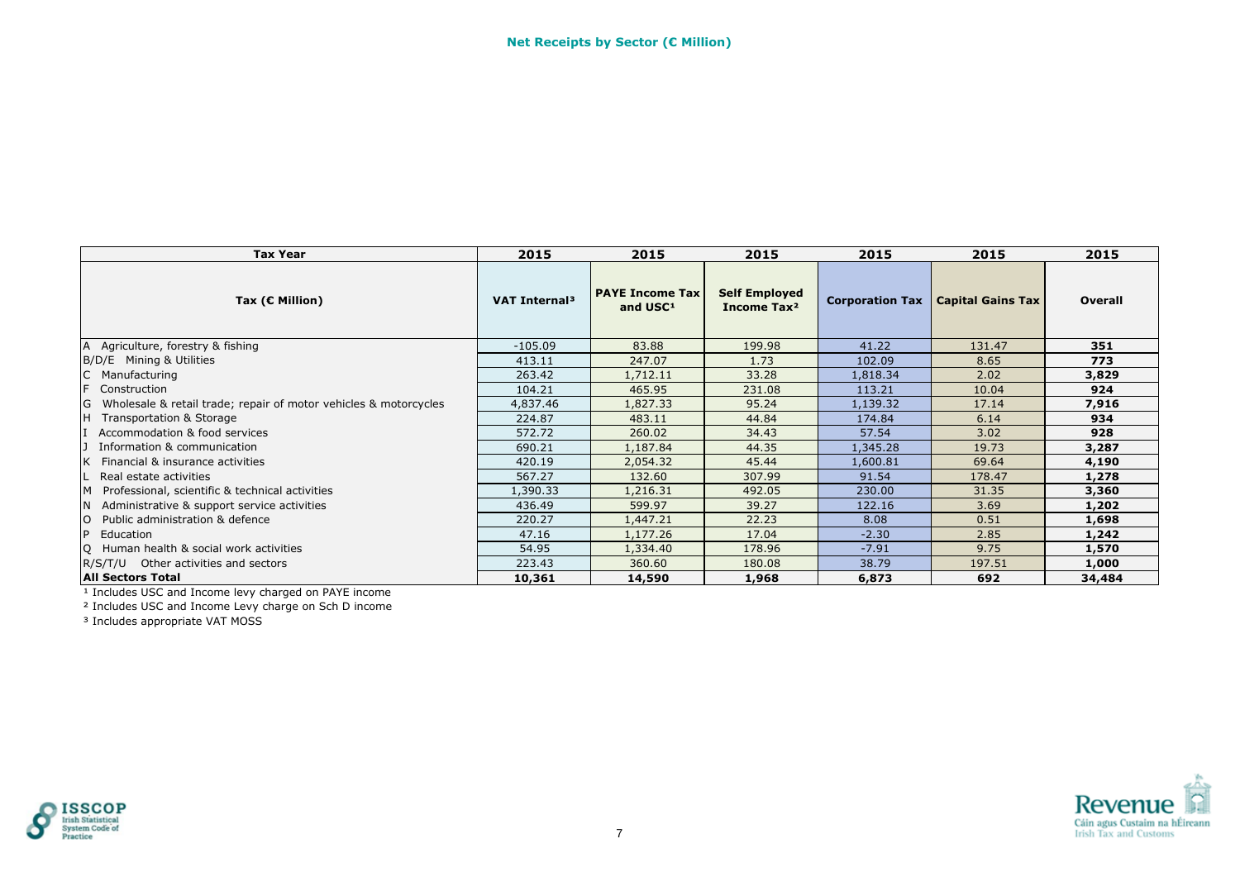| <b>Tax Year</b>                                                    | 2015                      | 2015                                           | 2015                                            | 2015                   | 2015                     | 2015    |
|--------------------------------------------------------------------|---------------------------|------------------------------------------------|-------------------------------------------------|------------------------|--------------------------|---------|
| Tax ( $C$ Million)                                                 | VAT Internal <sup>3</sup> | <b>PAYE Income Tax</b><br>and USC <sup>1</sup> | <b>Self Employed</b><br>Income Tax <sup>2</sup> | <b>Corporation Tax</b> | <b>Capital Gains Tax</b> | Overall |
| A Agriculture, forestry & fishing                                  | $-105.09$                 | 83.88                                          | 199.98                                          | 41.22                  | 131.47                   | 351     |
| B/D/E Mining & Utilities                                           | 413.11                    | 247.07                                         | 1.73                                            | 102.09                 | 8.65                     | 773     |
| C Manufacturing                                                    | 263.42                    | 1,712.11                                       | 33.28                                           | 1,818.34               | 2.02                     | 3,829   |
| F<br>Construction                                                  | 104.21                    | 465.95                                         | 231.08                                          | 113.21                 | 10.04                    | 924     |
| G Wholesale & retail trade; repair of motor vehicles & motorcycles | 4,837.46                  | 1,827.33                                       | 95.24                                           | 1,139.32               | 17.14                    | 7,916   |
| IH.<br>Transportation & Storage                                    | 224.87                    | 483.11                                         | 44.84                                           | 174.84                 | 6.14                     | 934     |
| Accommodation & food services                                      | 572.72                    | 260.02                                         | 34.43                                           | 57.54                  | 3.02                     | 928     |
| Information & communication                                        | 690.21                    | 1,187.84                                       | 44.35                                           | 1,345.28               | 19.73                    | 3,287   |
| Financial & insurance activities                                   | 420.19                    | 2,054.32                                       | 45.44                                           | 1,600.81               | 69.64                    | 4,190   |
| Real estate activities                                             | 567.27                    | 132.60                                         | 307.99                                          | 91.54                  | 178.47                   | 1,278   |
| Professional, scientific & technical activities                    | 1,390.33                  | 1,216.31                                       | 492.05                                          | 230.00                 | 31.35                    | 3,360   |
| Administrative & support service activities<br>IN.                 | 436.49                    | 599.97                                         | 39.27                                           | 122.16                 | 3.69                     | 1,202   |
| <b>O</b> Public administration & defence                           | 220.27                    | 1,447.21                                       | 22.23                                           | 8.08                   | 0.51                     | 1,698   |
| P<br>Education                                                     | 47.16                     | 1,177.26                                       | 17.04                                           | $-2.30$                | 2.85                     | 1,242   |
| Q Human health & social work activities                            | 54.95                     | 1,334.40                                       | 178.96                                          | $-7.91$                | 9.75                     | 1,570   |
| R/S/T/U Other activities and sectors                               | 223.43                    | 360.60                                         | 180.08                                          | 38.79                  | 197.51                   | 1,000   |
| <b>All Sectors Total</b>                                           | 10,361                    | 14,590                                         | 1,968                                           | 6,873                  | 692                      | 34,484  |

² Includes USC and Income Levy charge on Sch D income



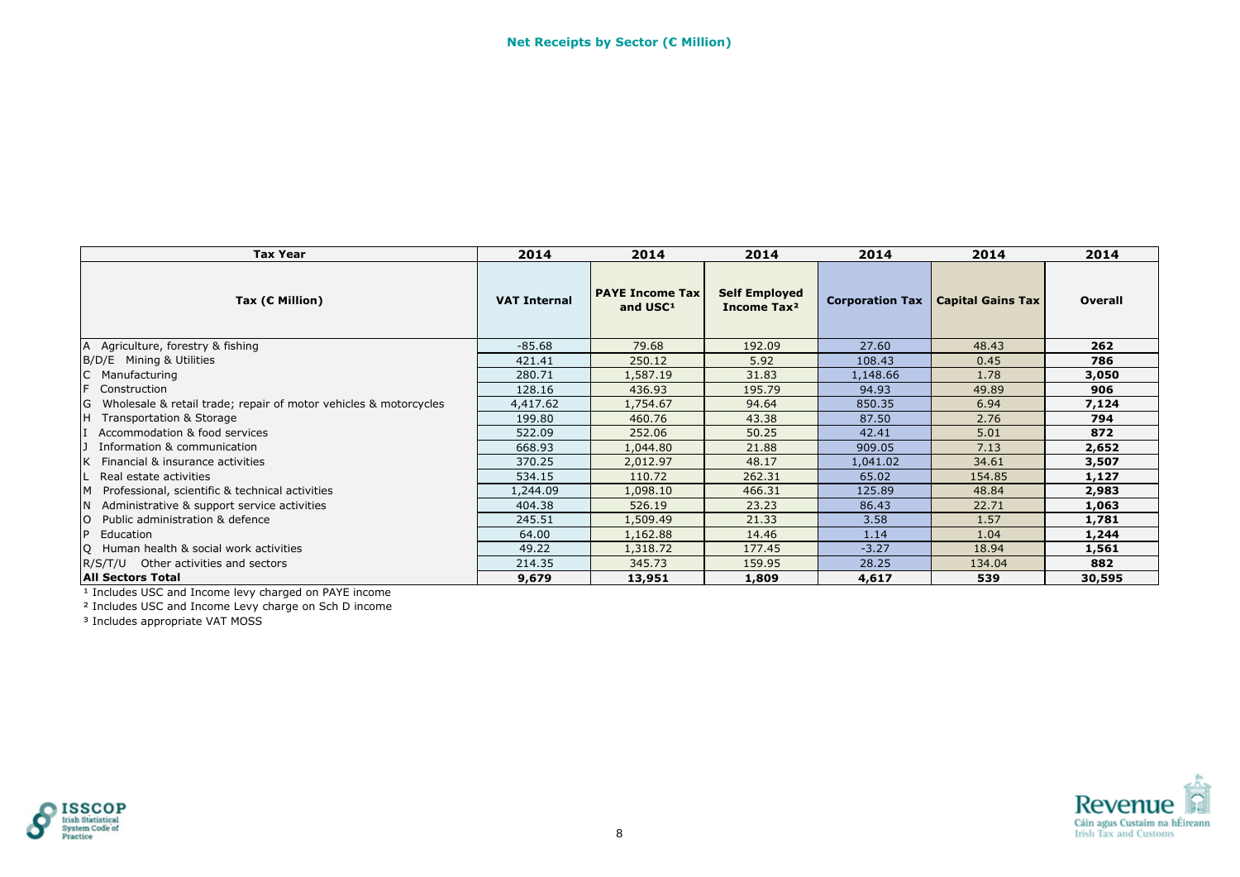| <b>Tax Year</b>                                                         | 2014                | 2014                                           | 2014                                            | 2014            | 2014                     | 2014           |
|-------------------------------------------------------------------------|---------------------|------------------------------------------------|-------------------------------------------------|-----------------|--------------------------|----------------|
| Tax ( $C$ Million)                                                      | <b>VAT Internal</b> | <b>PAYE Income Tax</b><br>and USC <sup>1</sup> | <b>Self Employed</b><br>Income Tax <sup>2</sup> | Corporation Tax | <b>Capital Gains Tax</b> | <b>Overall</b> |
| A Agriculture, forestry & fishing                                       | $-85.68$            | 79.68                                          | 192.09                                          | 27.60           | 48.43                    | 262            |
| B/D/E Mining & Utilities                                                | 421.41              | 250.12                                         | 5.92                                            | 108.43          | 0.45                     | 786            |
| Manufacturing                                                           | 280.71              | 1,587.19                                       | 31.83                                           | 1,148.66        | 1.78                     | 3,050          |
| F<br>Construction                                                       | 128.16              | 436.93                                         | 195.79                                          | 94.93           | 49.89                    | 906            |
| Wholesale & retail trade; repair of motor vehicles & motorcycles<br>IG. | 4,417.62            | 1,754.67                                       | 94.64                                           | 850.35          | 6.94                     | 7,124          |
| lΗ.<br>Transportation & Storage                                         | 199.80              | 460.76                                         | 43.38                                           | 87.50           | 2.76                     | 794            |
| Accommodation & food services                                           | 522.09              | 252.06                                         | 50.25                                           | 42.41           | 5.01                     | 872            |
| Information & communication                                             | 668.93              | 1,044.80                                       | 21.88                                           | 909.05          | 7.13                     | 2,652          |
| Financial & insurance activities                                        | 370.25              | 2,012.97                                       | 48.17                                           | 1,041.02        | 34.61                    | 3,507          |
| Real estate activities                                                  | 534.15              | 110.72                                         | 262.31                                          | 65.02           | 154.85                   | 1,127          |
| Professional, scientific & technical activities<br>M                    | 1,244.09            | 1,098.10                                       | 466.31                                          | 125.89          | 48.84                    | 2,983          |
| Administrative & support service activities<br>IN.                      | 404.38              | 526.19                                         | 23.23                                           | 86.43           | 22.71                    | 1,063          |
| Public administration & defence                                         | 245.51              | 1,509.49                                       | 21.33                                           | 3.58            | 1.57                     | 1,781          |
| <b>P</b><br>Education                                                   | 64.00               | 1,162.88                                       | 14.46                                           | 1.14            | 1.04                     | 1,244          |
| Q Human health & social work activities                                 | 49.22               | 1,318.72                                       | 177.45                                          | $-3.27$         | 18.94                    | 1,561          |
| R/S/T/U Other activities and sectors                                    | 214.35              | 345.73                                         | 159.95                                          | 28.25           | 134.04                   | 882            |
| <b>All Sectors Total</b>                                                | 9,679               | 13,951                                         | 1,809                                           | 4,617           | 539                      | 30,595         |

² Includes USC and Income Levy charge on Sch D income